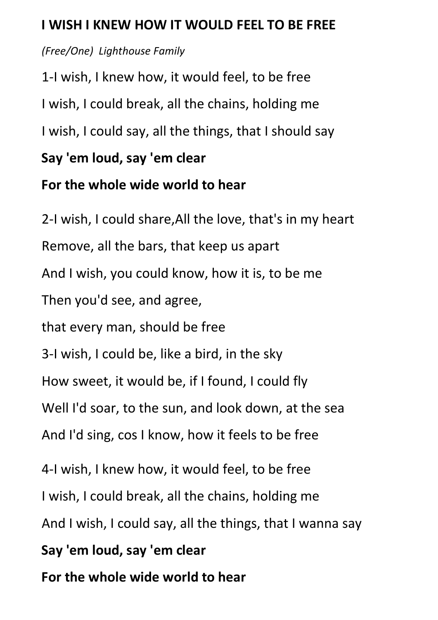## **I WISH I KNEW HOW IT WOULD FEEL TO BE FREE**

## *(Free/One) Lighthouse Family*

1-I wish, I knew how, it would feel, to be free I wish, I could break, all the chains, holding me I wish, I could say, all the things, that I should say **Say 'em loud, say 'em clear**

## **For the whole wide world to hear**

2-I wish, I could share,All the love, that's in my heart Remove, all the bars, that keep us apart And I wish, you could know, how it is, to be me Then you'd see, and agree, that every man, should be free 3-I wish, I could be, like a bird, in the sky How sweet, it would be, if I found, I could fly Well I'd soar, to the sun, and look down, at the sea And I'd sing, cos I know, how it feels to be free 4-I wish, I knew how, it would feel, to be free I wish, I could break, all the chains, holding me And I wish, I could say, all the things, that I wanna say **Say 'em loud, say 'em clear For the whole wide world to hear**